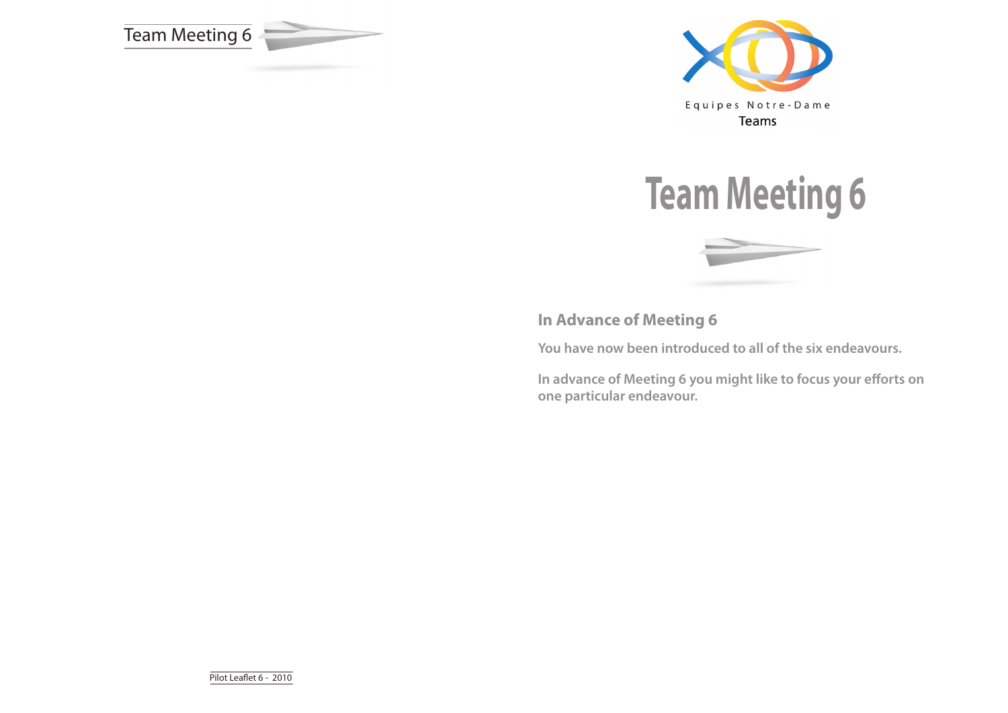







**In Advance of Meeting 6**

**You have now been introduced to all of the six endeavours.** 

**In advance of Meeting 6 you might like to focus your efforts on one particular endeavour.**